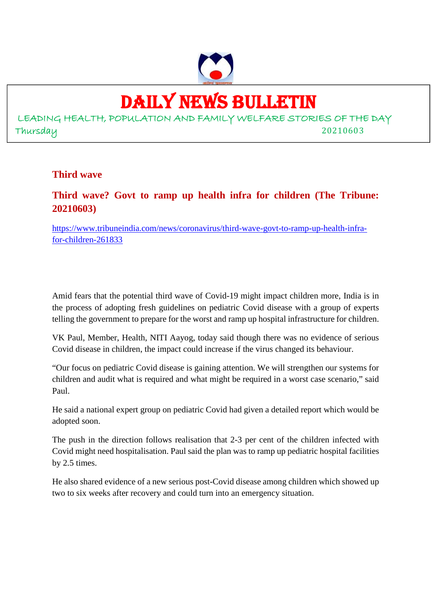

# DAILY NEWS BULLETIN

LEADING HEALTH, POPULATION AND FAMILY WELFARE STORIES OF THE DAY Thursday 20210603

### **Third wave**

# **Third wave? Govt to ramp up health infra for children (The Tribune: 20210603)**

https://www.tribuneindia.com/news/coronavirus/third-wave-govt-to-ramp-up-health-infrafor-children-261833

Amid fears that the potential third wave of Covid-19 might impact children more, India is in the process of adopting fresh guidelines on pediatric Covid disease with a group of experts telling the government to prepare for the worst and ramp up hospital infrastructure for children.

VK Paul, Member, Health, NITI Aayog, today said though there was no evidence of serious Covid disease in children, the impact could increase if the virus changed its behaviour.

"Our focus on pediatric Covid disease is gaining attention. We will strengthen our systems for children and audit what is required and what might be required in a worst case scenario," said Paul.

He said a national expert group on pediatric Covid had given a detailed report which would be adopted soon.

The push in the direction follows realisation that 2-3 per cent of the children infected with Covid might need hospitalisation. Paul said the plan was to ramp up pediatric hospital facilities by 2.5 times.

He also shared evidence of a new serious post-Covid disease among children which showed up two to six weeks after recovery and could turn into an emergency situation.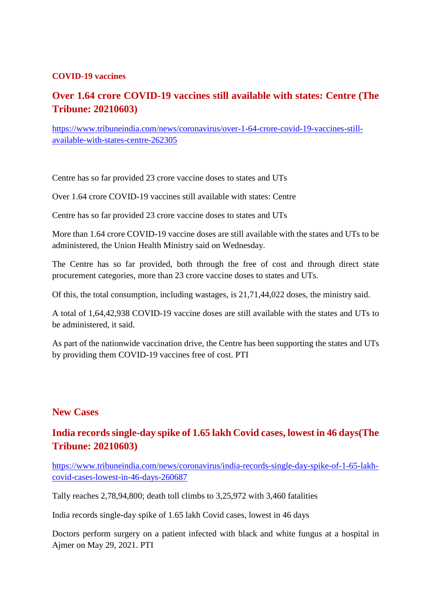#### **COVID-19 vaccines**

# **Over 1.64 crore COVID-19 vaccines still available with states: Centre (The Tribune: 20210603)**

https://www.tribuneindia.com/news/coronavirus/over-1-64-crore-covid-19-vaccines-stillavailable-with-states-centre-262305

Centre has so far provided 23 crore vaccine doses to states and UTs

Over 1.64 crore COVID-19 vaccines still available with states: Centre

Centre has so far provided 23 crore vaccine doses to states and UTs

More than 1.64 crore COVID-19 vaccine doses are still available with the states and UTs to be administered, the Union Health Ministry said on Wednesday.

The Centre has so far provided, both through the free of cost and through direct state procurement categories, more than 23 crore vaccine doses to states and UTs.

Of this, the total consumption, including wastages, is 21,71,44,022 doses, the ministry said.

A total of 1,64,42,938 COVID-19 vaccine doses are still available with the states and UTs to be administered, it said.

As part of the nationwide vaccination drive, the Centre has been supporting the states and UTs by providing them COVID-19 vaccines free of cost. PTI

#### **New Cases**

# **India records single-day spike of 1.65 lakh Covid cases, lowest in 46 days(The Tribune: 20210603)**

https://www.tribuneindia.com/news/coronavirus/india-records-single-day-spike-of-1-65-lakhcovid-cases-lowest-in-46-days-260687

Tally reaches 2,78,94,800; death toll climbs to 3,25,972 with 3,460 fatalities

India records single-day spike of 1.65 lakh Covid cases, lowest in 46 days

Doctors perform surgery on a patient infected with black and white fungus at a hospital in Ajmer on May 29, 2021. PTI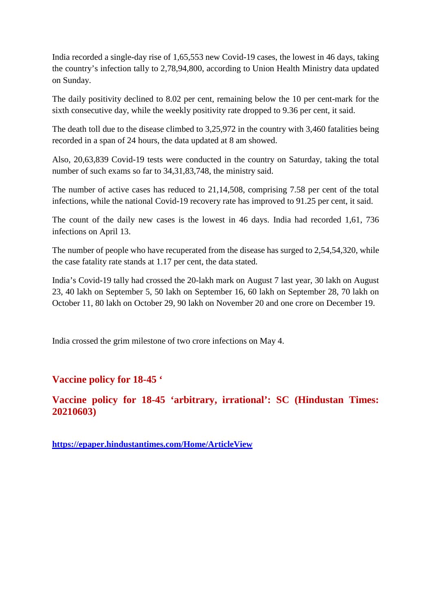India recorded a single-day rise of 1,65,553 new Covid-19 cases, the lowest in 46 days, taking the country's infection tally to 2,78,94,800, according to Union Health Ministry data updated on Sunday.

The daily positivity declined to 8.02 per cent, remaining below the 10 per cent-mark for the sixth consecutive day, while the weekly positivity rate dropped to 9.36 per cent, it said.

The death toll due to the disease climbed to 3,25,972 in the country with 3,460 fatalities being recorded in a span of 24 hours, the data updated at 8 am showed.

Also, 20,63,839 Covid-19 tests were conducted in the country on Saturday, taking the total number of such exams so far to 34,31,83,748, the ministry said.

The number of active cases has reduced to 21,14,508, comprising 7.58 per cent of the total infections, while the national Covid-19 recovery rate has improved to 91.25 per cent, it said.

The count of the daily new cases is the lowest in 46 days. India had recorded 1,61, 736 infections on April 13.

The number of people who have recuperated from the disease has surged to 2,54,54,320, while the case fatality rate stands at 1.17 per cent, the data stated.

India's Covid-19 tally had crossed the 20-lakh mark on August 7 last year, 30 lakh on August 23, 40 lakh on September 5, 50 lakh on September 16, 60 lakh on September 28, 70 lakh on October 11, 80 lakh on October 29, 90 lakh on November 20 and one crore on December 19.

India crossed the grim milestone of two crore infections on May 4.

## **Vaccine policy for 18-45 '**

**Vaccine policy for 18-45 'arbitrary, irrational': SC (Hindustan Times: 20210603)**

**https://epaper.hindustantimes.com/Home/ArticleView**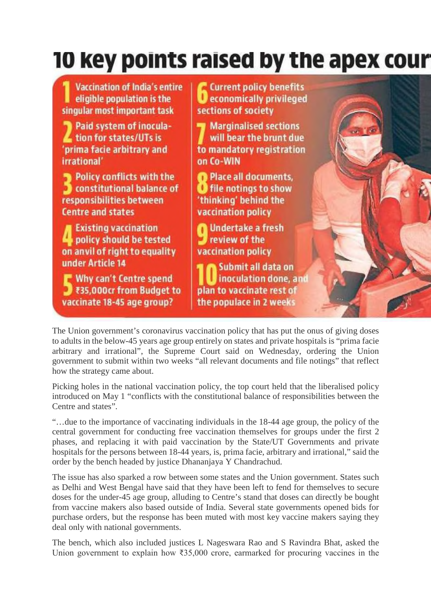# 10 key points raised by the apex cour

**Current policy benefits Vaccination of India's entire D** economically privileged eligible population is the singular most important task sections of society Paid system of inocula-**Marginalised sections** tion for states/UTs is will bear the brunt due 'prima facie arbitrary and to mandatory registration irrational' on Co-WIN Policy conflicts with the Place all documents. constitutional balance of **U** file notings to show responsibilities between 'thinking' behind the **Centre and states** vaccination policy **Existing vaccination n** Undertake a fresh review of the policy should be tested on anvil of right to equality **vaccination policy** under Article 14 Submit all data on Why can't Centre spend inoculation done, and ₹35,000cr from Budget to plan to vaccinate rest of vaccinate 18-45 age group? the populace in 2 weeks

The Union government's coronavirus vaccination policy that has put the onus of giving doses to adults in the below-45 years age group entirely on states and private hospitals is "prima facie arbitrary and irrational", the Supreme Court said on Wednesday, ordering the Union government to submit within two weeks "all relevant documents and file notings" that reflect how the strategy came about.

Picking holes in the national vaccination policy, the top court held that the liberalised policy introduced on May 1 "conflicts with the constitutional balance of responsibilities between the Centre and states".

"…due to the importance of vaccinating individuals in the 18-44 age group, the policy of the central government for conducting free vaccination themselves for groups under the first 2 phases, and replacing it with paid vaccination by the State/UT Governments and private hospitals for the persons between 18-44 years, is, prima facie, arbitrary and irrational," said the order by the bench headed by justice Dhananjaya Y Chandrachud.

The issue has also sparked a row between some states and the Union government. States such as Delhi and West Bengal have said that they have been left to fend for themselves to secure doses for the under-45 age group, alluding to Centre's stand that doses can directly be bought from vaccine makers also based outside of India. Several state governments opened bids for purchase orders, but the response has been muted with most key vaccine makers saying they deal only with national governments.

The bench, which also included justices L Nageswara Rao and S Ravindra Bhat, asked the Union government to explain how ₹35,000 crore, earmarked for procuring vaccines in the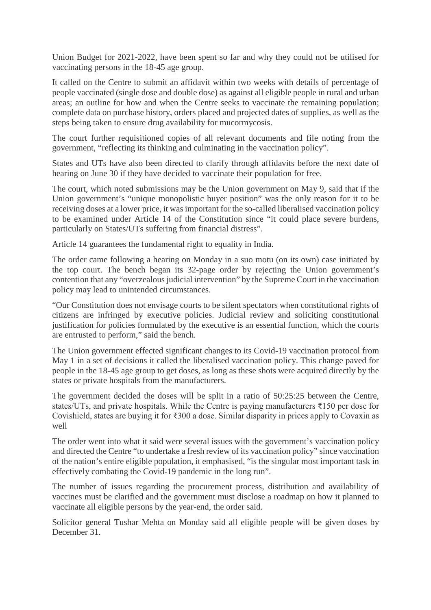Union Budget for 2021-2022, have been spent so far and why they could not be utilised for vaccinating persons in the 18-45 age group.

It called on the Centre to submit an affidavit within two weeks with details of percentage of people vaccinated (single dose and double dose) as against all eligible people in rural and urban areas; an outline for how and when the Centre seeks to vaccinate the remaining population; complete data on purchase history, orders placed and projected dates of supplies, as well as the steps being taken to ensure drug availability for mucormycosis.

The court further requisitioned copies of all relevant documents and file noting from the government, "reflecting its thinking and culminating in the vaccination policy".

States and UTs have also been directed to clarify through affidavits before the next date of hearing on June 30 if they have decided to vaccinate their population for free.

The court, which noted submissions may be the Union government on May 9, said that if the Union government's "unique monopolistic buyer position" was the only reason for it to be receiving doses at a lower price, it was important for the so-called liberalised vaccination policy to be examined under Article 14 of the Constitution since "it could place severe burdens, particularly on States/UTs suffering from financial distress".

Article 14 guarantees the fundamental right to equality in India.

The order came following a hearing on Monday in a suo motu (on its own) case initiated by the top court. The bench began its 32-page order by rejecting the Union government's contention that any "overzealous judicial intervention" by the Supreme Court in the vaccination policy may lead to unintended circumstances.

"Our Constitution does not envisage courts to be silent spectators when constitutional rights of citizens are infringed by executive policies. Judicial review and soliciting constitutional justification for policies formulated by the executive is an essential function, which the courts are entrusted to perform," said the bench.

The Union government effected significant changes to its Covid-19 vaccination protocol from May 1 in a set of decisions it called the liberalised vaccination policy. This change paved for people in the 18-45 age group to get doses, as long as these shots were acquired directly by the states or private hospitals from the manufacturers.

The government decided the doses will be split in a ratio of 50:25:25 between the Centre, states/UTs, and private hospitals. While the Centre is paying manufacturers ₹150 per dose for Covishield, states are buying it for ₹300 a dose. Similar disparity in prices apply to Covaxin as well

The order went into what it said were several issues with the government's vaccination policy and directed the Centre "to undertake a fresh review of its vaccination policy" since vaccination of the nation's entire eligible population, it emphasised, "is the singular most important task in effectively combating the Covid-19 pandemic in the long run".

The number of issues regarding the procurement process, distribution and availability of vaccines must be clarified and the government must disclose a roadmap on how it planned to vaccinate all eligible persons by the year-end, the order said.

Solicitor general Tushar Mehta on Monday said all eligible people will be given doses by December 31.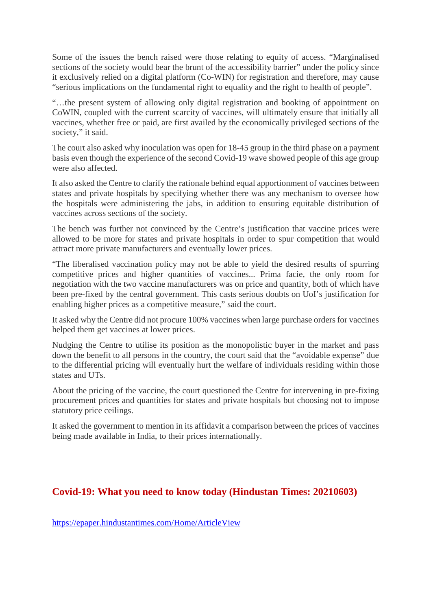Some of the issues the bench raised were those relating to equity of access. "Marginalised sections of the society would bear the brunt of the accessibility barrier" under the policy since it exclusively relied on a digital platform (Co-WIN) for registration and therefore, may cause "serious implications on the fundamental right to equality and the right to health of people".

"…the present system of allowing only digital registration and booking of appointment on CoWIN, coupled with the current scarcity of vaccines, will ultimately ensure that initially all vaccines, whether free or paid, are first availed by the economically privileged sections of the society," it said.

The court also asked why inoculation was open for 18-45 group in the third phase on a payment basis even though the experience of the second Covid-19 wave showed people of this age group were also affected.

It also asked the Centre to clarify the rationale behind equal apportionment of vaccines between states and private hospitals by specifying whether there was any mechanism to oversee how the hospitals were administering the jabs, in addition to ensuring equitable distribution of vaccines across sections of the society.

The bench was further not convinced by the Centre's justification that vaccine prices were allowed to be more for states and private hospitals in order to spur competition that would attract more private manufacturers and eventually lower prices.

"The liberalised vaccination policy may not be able to yield the desired results of spurring competitive prices and higher quantities of vaccines... Prima facie, the only room for negotiation with the two vaccine manufacturers was on price and quantity, both of which have been pre-fixed by the central government. This casts serious doubts on UoI's justification for enabling higher prices as a competitive measure," said the court.

It asked why the Centre did not procure 100% vaccines when large purchase orders for vaccines helped them get vaccines at lower prices.

Nudging the Centre to utilise its position as the monopolistic buyer in the market and pass down the benefit to all persons in the country, the court said that the "avoidable expense" due to the differential pricing will eventually hurt the welfare of individuals residing within those states and UTs.

About the pricing of the vaccine, the court questioned the Centre for intervening in pre-fixing procurement prices and quantities for states and private hospitals but choosing not to impose statutory price ceilings.

It asked the government to mention in its affidavit a comparison between the prices of vaccines being made available in India, to their prices internationally.

## **Covid-19: What you need to know today (Hindustan Times: 20210603)**

https://epaper.hindustantimes.com/Home/ArticleView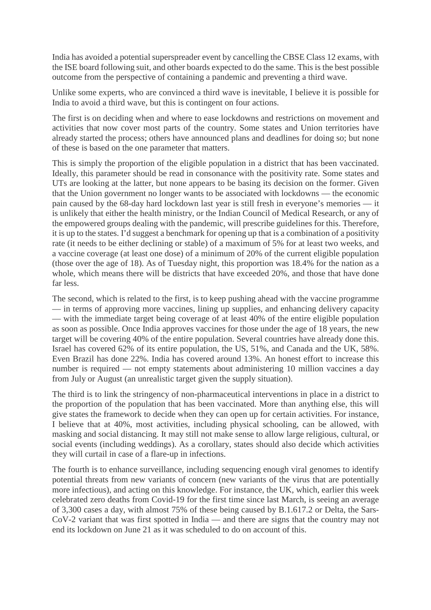India has avoided a potential superspreader event by cancelling the CBSE Class 12 exams, with the ISE board following suit, and other boards expected to do the same. This is the best possible outcome from the perspective of containing a pandemic and preventing a third wave.

Unlike some experts, who are convinced a third wave is inevitable, I believe it is possible for India to avoid a third wave, but this is contingent on four actions.

The first is on deciding when and where to ease lockdowns and restrictions on movement and activities that now cover most parts of the country. Some states and Union territories have already started the process; others have announced plans and deadlines for doing so; but none of these is based on the one parameter that matters.

This is simply the proportion of the eligible population in a district that has been vaccinated. Ideally, this parameter should be read in consonance with the positivity rate. Some states and UTs are looking at the latter, but none appears to be basing its decision on the former. Given that the Union government no longer wants to be associated with lockdowns — the economic pain caused by the 68-day hard lockdown last year is still fresh in everyone's memories — it is unlikely that either the health ministry, or the Indian Council of Medical Research, or any of the empowered groups dealing with the pandemic, will prescribe guidelines for this. Therefore, it is up to the states. I'd suggest a benchmark for opening up that is a combination of a positivity rate (it needs to be either declining or stable) of a maximum of 5% for at least two weeks, and a vaccine coverage (at least one dose) of a minimum of 20% of the current eligible population (those over the age of 18). As of Tuesday night, this proportion was 18.4% for the nation as a whole, which means there will be districts that have exceeded 20%, and those that have done far less.

The second, which is related to the first, is to keep pushing ahead with the vaccine programme — in terms of approving more vaccines, lining up supplies, and enhancing delivery capacity — with the immediate target being coverage of at least 40% of the entire eligible population as soon as possible. Once India approves vaccines for those under the age of 18 years, the new target will be covering 40% of the entire population. Several countries have already done this. Israel has covered 62% of its entire population, the US, 51%, and Canada and the UK, 58%. Even Brazil has done 22%. India has covered around 13%. An honest effort to increase this number is required — not empty statements about administering 10 million vaccines a day from July or August (an unrealistic target given the supply situation).

The third is to link the stringency of non-pharmaceutical interventions in place in a district to the proportion of the population that has been vaccinated. More than anything else, this will give states the framework to decide when they can open up for certain activities. For instance, I believe that at 40%, most activities, including physical schooling, can be allowed, with masking and social distancing. It may still not make sense to allow large religious, cultural, or social events (including weddings). As a corollary, states should also decide which activities they will curtail in case of a flare-up in infections.

The fourth is to enhance surveillance, including sequencing enough viral genomes to identify potential threats from new variants of concern (new variants of the virus that are potentially more infectious), and acting on this knowledge. For instance, the UK, which, earlier this week celebrated zero deaths from Covid-19 for the first time since last March, is seeing an average of 3,300 cases a day, with almost 75% of these being caused by B.1.617.2 or Delta, the Sars-CoV-2 variant that was first spotted in India — and there are signs that the country may not end its lockdown on June 21 as it was scheduled to do on account of this.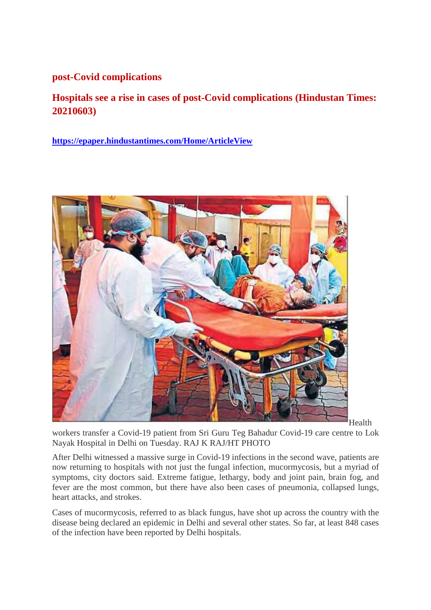## **post-Covid complications**

**Hospitals see a rise in cases of post-Covid complications (Hindustan Times: 20210603)**

**https://epaper.hindustantimes.com/Home/ArticleView**



Health

workers transfer a Covid-19 patient from Sri Guru Teg Bahadur Covid-19 care centre to Lok Nayak Hospital in Delhi on Tuesday. RAJ K RAJ/HT PHOTO

After Delhi witnessed a massive surge in Covid-19 infections in the second wave, patients are now returning to hospitals with not just the fungal infection, mucormycosis, but a myriad of symptoms, city doctors said. Extreme fatigue, lethargy, body and joint pain, brain fog, and fever are the most common, but there have also been cases of pneumonia, collapsed lungs, heart attacks, and strokes.

Cases of mucormycosis, referred to as black fungus, have shot up across the country with the disease being declared an epidemic in Delhi and several other states. So far, at least 848 cases of the infection have been reported by Delhi hospitals.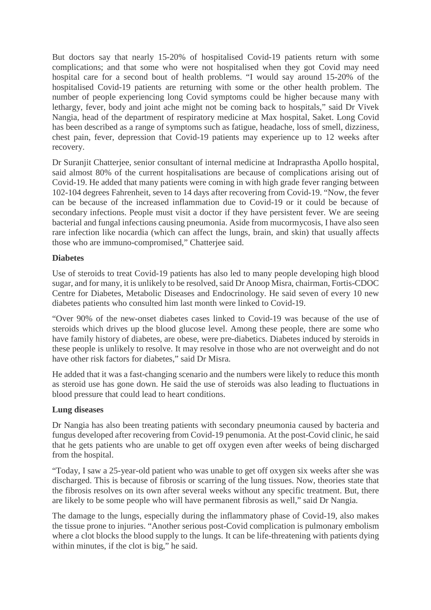But doctors say that nearly 15-20% of hospitalised Covid-19 patients return with some complications; and that some who were not hospitalised when they got Covid may need hospital care for a second bout of health problems. "I would say around 15-20% of the hospitalised Covid-19 patients are returning with some or the other health problem. The number of people experiencing long Covid symptoms could be higher because many with lethargy, fever, body and joint ache might not be coming back to hospitals," said Dr Vivek Nangia, head of the department of respiratory medicine at Max hospital, Saket. Long Covid has been described as a range of symptoms such as fatigue, headache, loss of smell, dizziness, chest pain, fever, depression that Covid-19 patients may experience up to 12 weeks after recovery.

Dr Suranjit Chatterjee, senior consultant of internal medicine at Indraprastha Apollo hospital, said almost 80% of the current hospitalisations are because of complications arising out of Covid-19. He added that many patients were coming in with high grade fever ranging between 102-104 degrees Fahrenheit, seven to 14 days after recovering from Covid-19. "Now, the fever can be because of the increased inflammation due to Covid-19 or it could be because of secondary infections. People must visit a doctor if they have persistent fever. We are seeing bacterial and fungal infections causing pneumonia. Aside from mucormycosis, I have also seen rare infection like nocardia (which can affect the lungs, brain, and skin) that usually affects those who are immuno-compromised," Chatterjee said.

#### **Diabetes**

Use of steroids to treat Covid-19 patients has also led to many people developing high blood sugar, and for many, it is unlikely to be resolved, said Dr Anoop Misra, chairman, Fortis-CDOC Centre for Diabetes, Metabolic Diseases and Endocrinology. He said seven of every 10 new diabetes patients who consulted him last month were linked to Covid-19.

"Over 90% of the new-onset diabetes cases linked to Covid-19 was because of the use of steroids which drives up the blood glucose level. Among these people, there are some who have family history of diabetes, are obese, were pre-diabetics. Diabetes induced by steroids in these people is unlikely to resolve. It may resolve in those who are not overweight and do not have other risk factors for diabetes," said Dr Misra.

He added that it was a fast-changing scenario and the numbers were likely to reduce this month as steroid use has gone down. He said the use of steroids was also leading to fluctuations in blood pressure that could lead to heart conditions.

#### **Lung diseases**

Dr Nangia has also been treating patients with secondary pneumonia caused by bacteria and fungus developed after recovering from Covid-19 penumonia. At the post-Covid clinic, he said that he gets patients who are unable to get off oxygen even after weeks of being discharged from the hospital.

"Today, I saw a 25-year-old patient who was unable to get off oxygen six weeks after she was discharged. This is because of fibrosis or scarring of the lung tissues. Now, theories state that the fibrosis resolves on its own after several weeks without any specific treatment. But, there are likely to be some people who will have permanent fibrosis as well," said Dr Nangia.

The damage to the lungs, especially during the inflammatory phase of Covid-19, also makes the tissue prone to injuries. "Another serious post-Covid complication is pulmonary embolism where a clot blocks the blood supply to the lungs. It can be life-threatening with patients dying within minutes, if the clot is big," he said.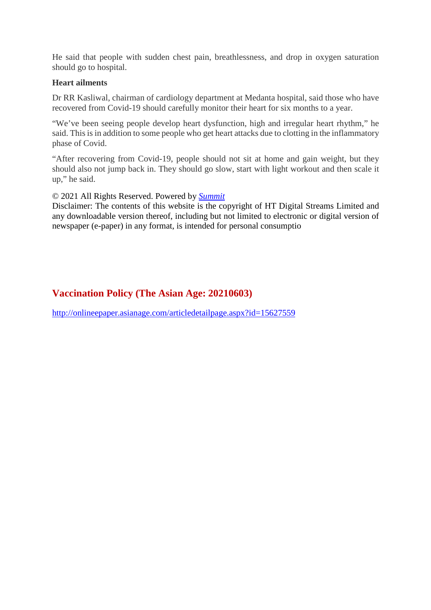He said that people with sudden chest pain, breathlessness, and drop in oxygen saturation should go to hospital.

#### **Heart ailments**

Dr RR Kasliwal, chairman of cardiology department at Medanta hospital, said those who have recovered from Covid-19 should carefully monitor their heart for six months to a year.

"We've been seeing people develop heart dysfunction, high and irregular heart rhythm," he said. This is in addition to some people who get heart attacks due to clotting in the inflammatory phase of Covid.

"After recovering from Covid-19, people should not sit at home and gain weight, but they should also not jump back in. They should go slow, start with light workout and then scale it up," he said.

#### © 2021 All Rights Reserved. Powered by *Summit*

Disclaimer: The contents of this website is the copyright of HT Digital Streams Limited and any downloadable version thereof, including but not limited to electronic or digital version of newspaper (e-paper) in any format, is intended for personal consumptio

# **Vaccination Policy (The Asian Age: 20210603)**

http://onlineepaper.asianage.com/articledetailpage.aspx?id=15627559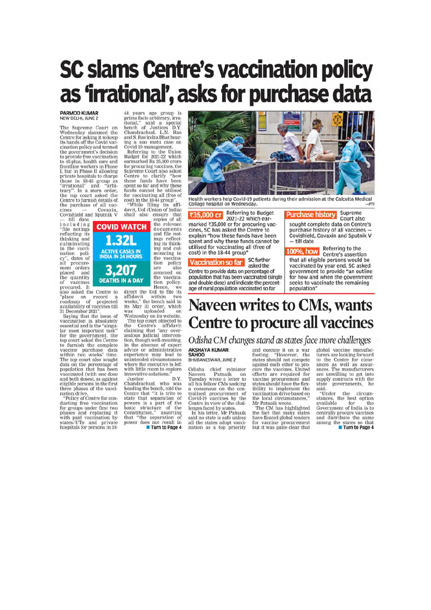# **SC slams Centre's vaccination policy** as 'irrational', asks for purchase data

# PARMOD KUMAR<br>NEW DELHI, JUNE 2

The Supreme Court on<br>Wednesday slammed the<br>Centre for asking it to keep<br>its hands off the Covid vaccination policy and termed the government's decision<br>to provide free vaccination to 45-plus, health care and<br>frontline workers in Phase<br>I, but in Phase II allowing r, out in rease in an<br>owing those in 18-45 group as "irrational" and "arbi-<br>trary". In a stern order,<br>the top court asked the Centre to furnish details of the purchase of all vac-<br>cines — Covaxin,<br>Covishield and Sputnik V

- till date,<br>including "file notings<br>reflecting its thinking and culminating in the vacciin the vacci-<br>
nation policy", dates of<br>
all procure-<br>
ment orders<br>
placed and the quantity<br>of vaccines

procured. It<br>also asked the Centre to<br>"place on record a<br>roadmap of projected

also asset the centre to<br>"place on record a<br>roadmap of projected<br>availability of vaccines till<br>31 December 2021".<br>Saying that the issue of<br>vaccination is absolutely<br>essential and is the "singulation"<br>bear that the sample lar most important task"<br>for the government, the<br>top court asked the Centre top court asked the Centre<br>to furnish the complete<br>vaccine purchase data<br>within two weeks' time.<br>The top court also sought<br>data on the percentage of<br>population that has been<br>vaccinated (with one dose<br>and hoth doses) as aga and both doses), as against<br>eligible persons in the first<br>three phases of the vacci-

mee phases of the vacci-<br>mation drive.<br>"Policy of Centre for con-<br>ducting free vaccination<br>for groups under first two<br>phases and replacing it with paid vaccination by<br>states/UTs and private<br>hospitals for persons in 18-

44 years age group is<br>prima facie arbitrary, irraprima facte around y, tra-<br>tional," said a special<br>bench of Justices D.Y.<br>Chandrachud, L.N. Rao<br>and S.Ravindra Bhat hear-<br>ing a suo motu case on<br>Covid-19 management.

Referring to the Union<br>Budget for 2021-22 which<br>earmarked Rs 35,000 crore for procuring vaccines, the<br>Supreme Court also asked Centre to clarify "how<br>these funds have been<br>spent so far and why these spent so far and why these funds cannot be utilised<br>for vaccinating all (free of<br>cost) in the 18-44 group".<br>"While filing its afficient<br>davit, UoI (Union of India)<br>shall also ensure that<br>copies of all<br> $\blacksquare$ 

documents<br>and file notings reflecting its think-<br>ing and culminating in<br>the vaccination policy are also<br>annexed on the vaccina-**N A DAY** tion policy.<br>Hence, we direct the UoI to file its

direct the UoI to file its<br>affidavit within two<br>weeks," the bench said in<br>its May 31 order, which<br>was uploaded on<br>wednesday on its website.<br>The top court objected to<br>the Centre's affidavit<br>claiming that "any over-<br>zealous tion, though well-meaning. in the absence of expert<br>advice or administrative experience may lead to<br>unintended circumstances where the executive is left with little room to explore<br>innovative solutions."

D.Y. Justice Justice<br>Chandrachud, who was<br>heading the bench, told the<br>Centre that "it is trite to Centre that "it is trite to<br>state that separation of<br>powers is a part of the<br>basic structure of the<br>Constitution," asserting<br>that "the separation of<br>power does not result in<br> $\blacksquare$  Turn to Page 4

Health workers help Covid-19 patients during their admission at the Calcutta Medical<br>Collage hospital on Wednesday.  $-PTI$ 

**Referring to Budget** ₹35,000 cr 2021-22 which earmarked ₹35,000 cr for procuring vaccines, SC has asked the Centre to explain "how these funds have been spent and why these funds cannot be utilised for vaccinating all (free of cost) in the 18-44 group'

#### SC further **Vaccination so far** asked the

SAHOO<br>BHUBANESWAR, JUNE 2

Odisha chief minister<br>Naveen Patnaik on<br>Tuesday wrote a letter to<br>all his fellow CMs seeking<br>a consensus on the cen-

tralised procurement of<br>Covid-19 vaccines by the<br>Centre in view of the chal-

lenges faced by states.<br>In his letter, Mr Patnaik

said no state is safe unless<br>all the states adopt vacci-<br>nation as a top priority

Centre to provide data on percentage of population that has been vaccinated (single and double dose) and indicate the percentage of rural population vaccinated so far

**Purchase history** Supreme Court also sought complete data on Centre's purchase history of all vaccines Covishield, Covaxin and Sputnik V till date

Referring to the 100%, how Centre's assertion that all eligible persons would be vaccinated by year end, SC asked<br>government to provide "an outline for how and when the government seeks to vaccinate the remaining population"

# **Naveen writes to CMs, wants** Centre to procure all vaccines

#### Odisha CM changes stand as states face more challenges **AKSHAYA KUMAR**

and execute it on a war footing. "However, the<br>states should not compete against each other to procure the vaccines. United<br>efforts are required for vaccine procurement and states should have the flexibility to implement the vaccination drive based on<br>the local circumstances,"<br>Mr Patnaik wrote.

Mr Patnaik wrote.<br>The CM has highlighted<br>the fact that many states<br>have floated global tenders<br>for vaccine procurement<br>but it was quite clear that

global vaccine manufacgional vaccine manurac-<br>turers are looking forward<br>to the Centre for clear-<br>ances as well as assur-<br>ances. The manufacturers<br>are unwilling to get into supply contracts with the state governments, said.

"Under the circum-<br>stances, the best option<br>available for the available<br> **Government** of India is to<br>
centrally procure vaccines and distribute the same<br>among the states so that<br>Turn to Page 4

**COVID WATCH**  $321$ ACTIVE CASES IN<br>INDIA IN 24 HOURS 3,207 **DEATHS IN A DAY**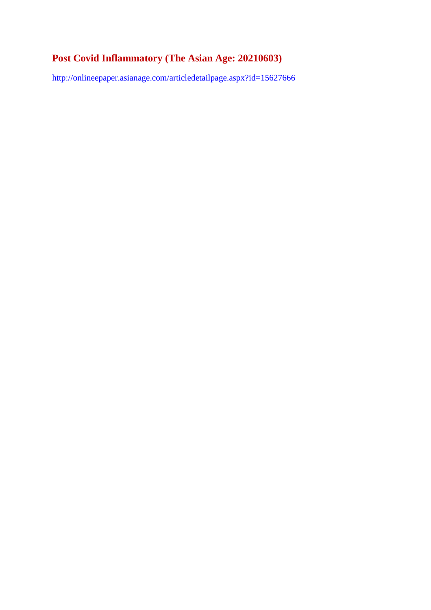# **Post Covid Inflammatory (The Asian Age: 20210603)**

http://onlineepaper.asianage.com/articledetailpage.aspx?id=15627666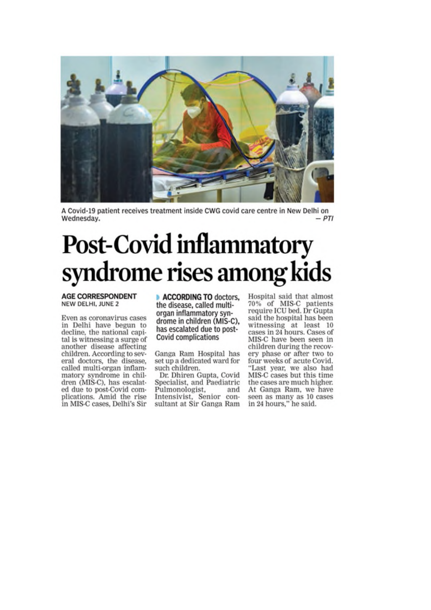

A Covid-19 patient receives treatment inside CWG covid care centre in New Delhi on Wednesday.  $-PTI$ 

# **Post-Covid inflammatory** syndrome rises among kids

#### **AGE CORRESPONDENT** NEW DELHI, JUNE 2

Even as coronavirus cases in Delhi have begun to decline, the national capital is witnessing a surge of another disease affecting children. According to several doctors, the disease, called multi-organ inflammatory syndrome in children (MIS-C), has escalated due to post-Covid complications. Amid the rise in MIS-C cases, Delhi's Sir

**ACCORDING TO doctors,** the disease, called multiorgan inflammatory syndrome in children (MIS-C). has escalated due to post-**Covid complications** 

Ganga Ram Hospital has set up a dedicated ward for such children.

Dr. Dhiren Gupta, Covid Specialist, and Paediatric Pulmonologist, and Intensivist, Senior consultant at Sir Ganga Ram Hospital said that almost 70% of MIS-C patients<br>require ICU bed. Dr Gupta said the hospital has been witnessing at least 10 cases in 24 hours. Cases of MIS-C have been seen in children during the recovery phase or after two to four weeks of acute Covid. "Last year, we also had MIS-C cases but this time the cases are much higher. At Ganga Ram, we have seen as many as 10 cases in 24 hours," he said.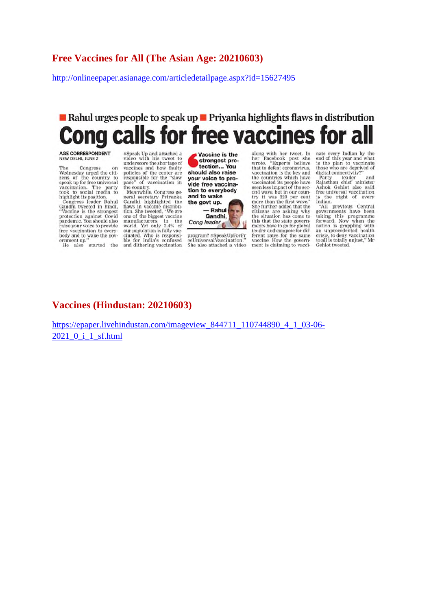#### **Free Vaccines for All (The Asian Age: 20210603)**

http://onlineepaper.asianage.com/articledetailpage.aspx?id=15627495

# Rahul urges people to speak up  $\blacksquare$  Priyanka highlights flaws in distribution calls for free vaccines LO

# AGE CORRESPONDENT<br>NEW DELHI, JUNE 2

The Congress on<br>Wednesday urged the citi-<br>zens of the country to zens of the country to<br>speak up for free universal<br>vaccination. The party<br>took to social media to<br>highlight its position.<br>Congress leader Rahul

Conditional text of the strongest<br>
Candhi tweeted in hindi,<br>
"Vaccine is the strongest<br>
protection against Covid<br>
pandemic. You should also<br>
raise your voice to provide free vaccination to everybody and to wake the gov-<br>ernment up." He also started the

#Speak Up and attached a<br>video with his tweet to<br>underscore the shortage of vaccines and how faulty<br>policies of the center are<br>responsible for the "slow pace" of vaccination in<br>the country.<br>Meanwhile, Congress ge-

Meanwhile, Congress general secretary Priyanka<br>Gandhi highlighted the<br>flaws in vaccine distribution. She tweeted, "We are<br>one of the biggest vaccine one of the biggest vaccine<br>manufacturers in the<br>world. Yet only 3.4% of<br>our population is fully vac-<br>cinated. Who is responsi-<br>ble for India's confused and dithering vaccination

Vaccine is the strongest protection... You should also raise your voice to provide free vaccination to everybody and to wake the govt up.



program? #SpeakUpForFr<br>eeUniversalVaccination."<br>She also attached a video

along with her tweet. In<br>her Facebook post she<br>wrote, "Experts believe<br>that to defeat coronavirus,<br>vaccination is the key and the countries which have vaccinated its people have<br>seen less impact of the second wave, but in our country it was 320 per cent<br>more than the first wave." She further added that the<br>citizens are asking why<br>the situation has come to this that the state govern-<br>ments have to go for global tender and compete for different rates for the same<br>vaccine. How the government is claiming to vaccinate every Indian by the<br>end of this year and what<br>is the plan to vaccinate<br>those who are deprived of<br>digital connectivity?"

and Party leader Party leader and<br>Rajasthan chief minister<br>Ashok Gehlot also said<br>free universal vaccination

free universal vaccination<br>is the right of every<br>Indian.<br>Bovernments have been<br>taking this programme<br>forward. Now when the<br>nation is grappling with<br>an unprecedented health<br>crisis, to deny vaccination<br>Celhlot tweeted. Gehlot tweeted.

## **Vaccines (Hindustan: 20210603)**

https://epaper.livehindustan.com/imageview\_844711\_110744890\_4\_1\_03-06- 2021\_0\_i\_1\_sf.html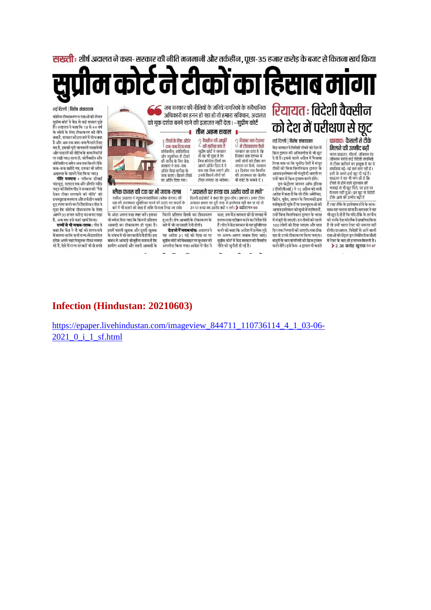**सख्ती** : शीर्ष अदालत ने कहा- सरकार की नीति मनमानी और तर्कहीन, पूछा-35 हजार करोड के बजट से कितना खर्च किया

कोर्ट ने टीकों का हिसाब मांगा

नई दिल्ली | विशेष संवाददाता .<br>कोरोना टीकाकरण व दवाओं को लेकर .<br>सुप्रीम कोर्ट ने केंद्र से कई सवाल पूछे हैं। अदालत ने कहा कि 18 से 44 वर्ष के लोगों के लिए टीकाकरण की नीति क्या है. सरकार की इस बारे में सोच क्या है और अब तक क्या-क्या फैसले लिए गए हैं, इसकी पूरी जानकारी दस्तावेजों<br>और फाइलों की नोटिंग के साथ रिकॉर्ड पर रखी जाए। साथ ही, कोवैक्सीन और कोविशील्ड समेत अब तक कितने टीके -<br>कब-कब खरीदे गए, इसका भी ब्योरा<br>अदालत के सामने पेश किया जाए।

जबरात के सामन स्वासन नाए।<br>**नीति मनमाना** : जस्टिस डीवाई<br>चंद्रचूड़, एलएन राव और श्रीपति रवींद्र भट्ट की विशेष पीठ ने सरकार की 'पैसे .<br>देकर टीका लगवाने को नोति' को .<br>प्रथमदृष्टया मनमाना और तर्कहीन बताते हुए स्पष्ट करने का निर्देश दिया। पीठ ने पूछा कि कोरोना टीकाकरण के लिए आपने 35 हजार करोड का बजट रखा है, अब तक इसे कहां खर्च किया।

र, राजपोर रहा गया खन्नाकथा।<br>- **राज्यों से भी जवाब-तलब** 1 पीठ ने<br>कहा कि केंद्र ने नौ मई को हलफनामे .<br>में बताया था कि सभी राज्य/केंद्रशासित प्रदेश अपने यहां निशुल्क टीका लगवा रहे हैं, पेसे में राज्य सरकारें भी दो हफ्ते



-<br>आबादी का टीकाकरण हो चुका है।<br>इसमें पहली खुराक और दूसरी खुराक .<br>के संबंध में भी जानकारी देनी होगी। इस संबंध में आंकड़े भी मुहैया कराना है कि ग्रामीण आबादी और शहरी आबादी के

बारे में भी जानकारी देनी होगी। दो हफ्ते में जवाब मांगा: अदालत ने यह आदेश 31 मई को दिया था पर सुप्रीम कोर्ट की वेबसाइट पर बुधवार को अपलोड किया गया। आदेश में पीठ ने

हैं। पीठ ने केंद्र सरकार से यह सनिश्चित करने को कहा कि आदेश में प्रत्येक मुद्दे पर अलग-अलग जवाब दिया जाए। सुप्रीम कोर्ट में केंद्र सरकार की वैक्सीन

नीति को चुनौती दी गई है।

100 लोगों को दिया जाएगा और सात रहा तो उनसे टीकाकरण किया जाएगा। मंजूरी के बाद कंपनियों को ब्रिज ट्रायल करने होंगे। इसे फेस- 4 टायल भी कहते

ः । १० ७१ के इत्यादित हो । ११ ता न<br>साथ यह चलता रहता है। सरकार ने यह .<br>भी कट दे दी है कि यदि टीके के हर बैच णा जूड - २ मा जाने जाने के पार पर नाम<br>को उनके देश की लैब ने प्रमाणित किया है तो उन्हें भारत टेस्ट की जरूरत नहीं होगी। दरअसल, विदेशों से आने वाली दवाओं को सेंटल डग लेबोरेटरी कसौली में टेस्ट के बाद ही इजाजत मिलती है। ▶ 2 .38 करोड़ खुराक पेज 07

# **Infection (Hindustan: 20210603)**

https://epaper.livehindustan.com/imageview 844711 110736114 4 1 03-06-2021 0 i 1 sf.html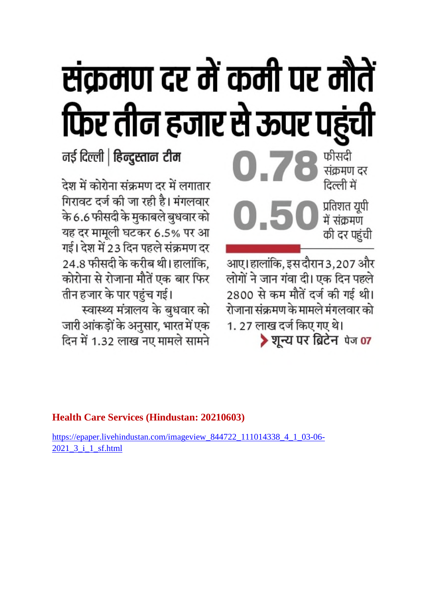# संक्रमण दर में कमी पर मौतें फिर तीन हजार से ऊपर पहुंची

# नई दिल्ली | हिन्दुस्तान टीम

देश में कोरोना संक्रमण दर में लगातार गिरावट दर्ज की जा रही है। मंगलवार के 6.6 फीसदी के मुकाबले बुधवार को यह दर मामूली घटकर 6.5% पर आ गई। देश में 23 दिन पहले संक्रमण दर 24.8 फीसदी के करीब थी। हालांकि, कोरोना से रोजाना मौतें एक बार फिर तीन हजार के पार पहुंच गई।

स्वास्थ्य मंत्रालय के बुधवार को जारी आंकड़ों के अनुसार, भारत में एक दिन में 1.32 लाख नए मामले सामने

0.7 संक्रमण दर प्रतिशत यूपी<br>में संक्रमण की दर पहंची

फीसदी

आए। हालांकि, इस दौरान 3,207 और लोगों ने जान गंवा दी। एक दिन पहले 2800 से कम मौतें दर्ज की गई थी। रोजाना संक्रमण के मामले मंगलवार को 1.27 लाख दर्ज किए गए थे। शून्य पर ब्रिटेन पेज 07

# **Health Care Services (Hindustan: 20210603)**

https://epaper.livehindustan.com/imageview\_844722\_111014338\_4\_1\_03-06- 2021\_3\_i\_1\_sf.html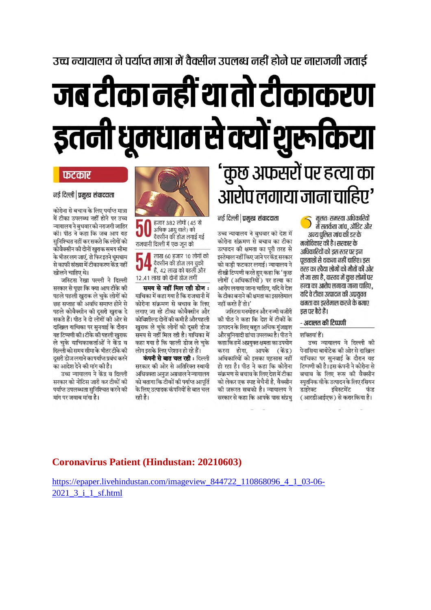# उच्च न्यायालय ने पर्याप्त मात्रा में वैक्सीन उपलब्ध नहीं होने पर नाराजगी जताई

# जब टीका नहीं था तो टीकाकरण इतनी धूमधाम से क्यों शुरूक्रिया

नई दिल्ली | प्रमुख संवाददाता

उच्च न्यायालय ने बुधवार को देश में

कोरोना संक्रमण से बचाव का टीका

उत्पादन की क्षमता का पूरी तरह से

इस्तेमाल नहीं किए जाने पर केंद्र सरकार

को कडी फटकार लगाई। न्यायालय ने

तीखी टिप्पणी करते हुए कहा कि 'कुछ

लोगों (अधिकारियों) पर हत्या का

आरोप लगाया जाना चाहिए, यदि वे देश

के टीका बनाने की क्षमता का इसस्तेमाल

की पीठ ने कहा कि देश में टीकों के

उत्पादन के लिए बहुत अधिक गंजाइश

कहा कि हमें अप्रयुक्त क्षमता का उपयोग

करना होगा, आपके (केंद्र)

अधिकारियों को इसका एहसास नहीं

हो रहा है। पीठ ने कहा कि कोरोना संक्रमण से बचाव के लिए देश में टीका

को लेकर एक स्पष्ट बेचैनी है, वैक्सीन

की जरूरत सबको है। न्यायालय ने

सरकार से कहा कि आपके पास संप्रभ

जस्टिस मनमोहन और नज्मी वजीरी

नहीं करते हैं तो।'

# 'कुछ अफसरों पर हत्या का<br>आरोप लगाया जाना चाहिए'

मूलतः समस्या अधिकारियों में सतर्कता जांच, ऑडिट और अन्य पुलिस जांच की डर के

मनोविकार की है। सरकार के अधिकारियों को डस स्तर पर डन पछताछों से थकना नहीं चाहिए। इस तरह का रवैया लोगों को मौतों की ओर ले जा रहा है, वास्तव में कुछ लोगों पर हत्या का आरोप लगाया जाना चाहिए, यदि वे टीका उत्पादन की अप्रयुक्त क्षमता का इस्तेमाल करने के बजाए इस पर बैठे हैं।

#### - अदालत की टिप्पणी

और बुनियादी ढांचा उपलब्ध है। पीठ ने शक्तियां हैं।

> उच्च न्यायालय ने दिल्ली की .<br>पेनासिया बायोटेक की ओर से दाखिल याचिका पर सूनवाई के दौरान यह टिप्पणी की है। इस कंपनी ने कोरोना से बचाव के लिए रूस की वैक्सीन स्पुतनिक वीके उत्पादन के लिए रसियन इंवेस्टमेंट डाइरेक्ट फंड ( आरडीआईएफ) से करार किया है।



अधिक आयु वाले) को वैक्सीन की डोज लगाई गई राजधानी दिल्ली में एक जन को

लाख 60 हजार 10 लोगों को वैक्सीन की डोज लग चुकी हैं, 42 लाख को पहली और 12.41 लाख को दोनों डोज लगीं

समय से नहीं मिल रही डोज : याचिका में कहा गया है कि राजधानी में कोरोना संक्रमण से बचाव के लिए लगाए जा रहे टीका कोवैक्सीन और कोविशील्ड दोनों की कमी है और पहली खुराक ले चुके लोगों को दूसरी डोज समय से नहीं मिल रही है। याचिका में कहा गया है कि पहली डोज ले चुके लोग इसके लिए परेशान हो रहे हैं।

कंपनी से बात चल रही : दिल्ली सरकार की ओर से अतिरिक्त स्थायी अधिवक्ता अनुज अग्रवाल ने न्यायालय को बताया कि टीकों की पर्याप्त आपूर्ति के लिए उत्पादक कंपनियों से बात चल रही है।

# फटकार नई दिल्ली । प्रमुख संवाददाता

कोरोना से बचाव के लिए पर्याप्त मात्रा में टीका उपलब्ध नहीं होने पर उच्च न्यायालय ने बुधवारको नराजगी जाहिर की। पीठ ने कहा कि जब आप यह सुनिश्चित नहीं कर सकते कि लोगों को कोवैक्सीन की दोनों खुराक समय सीमा के भीतर लग जाएं, तो फिर इतने धूमधाम से काफी संख्या में टीकाकरण केंद्र नहीं खोलने चाहिए थे।

जस्टिस रेखा पल्ली ने दिल्ली सरकार से पूछा कि क्या आप टीके की पहले पहली खुराक ले चुके लोगों को छह सप्ताह की अवधि समाप्त होने से पहले कोवैक्सीन की दुसरी खुराक दे सकते हैं। पीठ ने दो लोगों की ओर से दाखिल याचिका पर सुनवाई के दौरान यह टिप्पणी की। टीके की पहली खुराक ले चुके याचिकाकर्ताओं ने केंद्र व दिल्ली को समय सीमा के भीतर टीके की दसरी डोज लगाने का पर्याप्त प्रबंध करने का आदेश देने की मांग की है।

उच्च न्यायालय ने केंद्र व दिल्ली सरकार को नोटिस जारी कर टीकों की पर्याप्त उपलब्धता सुनिश्चित करने की मांग पर जवाब मांगा है।

## **Coronavirus Patient (Hindustan: 20210603)**

https://epaper.livehindustan.com/imageview 844722 110868096 4 1 03-06-2021 3 i 1 sf.html